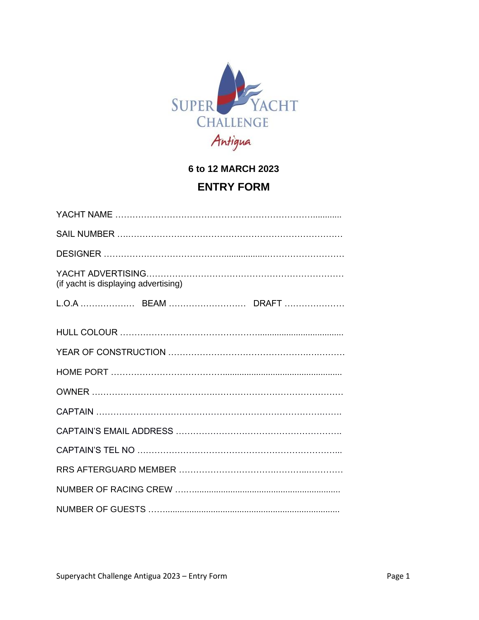

**6 to 12 MARCH 2023**

# **ENTRY FORM**

| (if yacht is displaying advertising) |
|--------------------------------------|
|                                      |
|                                      |
|                                      |
|                                      |
|                                      |
|                                      |
|                                      |
|                                      |
|                                      |
|                                      |
|                                      |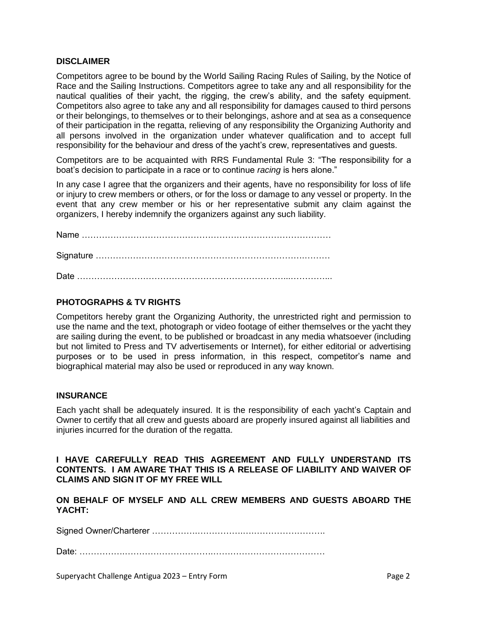#### **DISCLAIMER**

Competitors agree to be bound by the World Sailing Racing Rules of Sailing, by the Notice of Race and the Sailing Instructions. Competitors agree to take any and all responsibility for the nautical qualities of their yacht, the rigging, the crew's ability, and the safety equipment. Competitors also agree to take any and all responsibility for damages caused to third persons or their belongings, to themselves or to their belongings, ashore and at sea as a consequence of their participation in the regatta, relieving of any responsibility the Organizing Authority and all persons involved in the organization under whatever qualification and to accept full responsibility for the behaviour and dress of the yacht's crew, representatives and guests.

Competitors are to be acquainted with RRS Fundamental Rule 3: "The responsibility for a boat's decision to participate in a race or to continue *racing* is hers alone."

In any case I agree that the organizers and their agents, have no responsibility for loss of life or injury to crew members or others, or for the loss or damage to any vessel or property. In the event that any crew member or his or her representative submit any claim against the organizers, I hereby indemnify the organizers against any such liability.

Name …………………………………………………………………………… Signature ……………………………………………………………….……… Date ………………………………………………………………...…………...

## **PHOTOGRAPHS & TV RIGHTS**

Competitors hereby grant the Organizing Authority, the unrestricted right and permission to use the name and the text, photograph or video footage of either themselves or the yacht they are sailing during the event, to be published or broadcast in any media whatsoever (including but not limited to Press and TV advertisements or Internet), for either editorial or advertising purposes or to be used in press information, in this respect, competitor's name and biographical material may also be used or reproduced in any way known.

#### **INSURANCE**

Each yacht shall be adequately insured. It is the responsibility of each yacht's Captain and Owner to certify that all crew and guests aboard are properly insured against all liabilities and injuries incurred for the duration of the regatta.

#### **I HAVE CAREFULLY READ THIS AGREEMENT AND FULLY UNDERSTAND ITS CONTENTS. I AM AWARE THAT THIS IS A RELEASE OF LIABILITY AND WAIVER OF CLAIMS AND SIGN IT OF MY FREE WILL**

**ON BEHALF OF MYSELF AND ALL CREW MEMBERS AND GUESTS ABOARD THE YACHT:**

Signed Owner/Charterer …………….…………….….…………………….

Date: …………….………………………….…………………………………

Superyacht Challenge Antigua 2023 – Entry Form Page 2